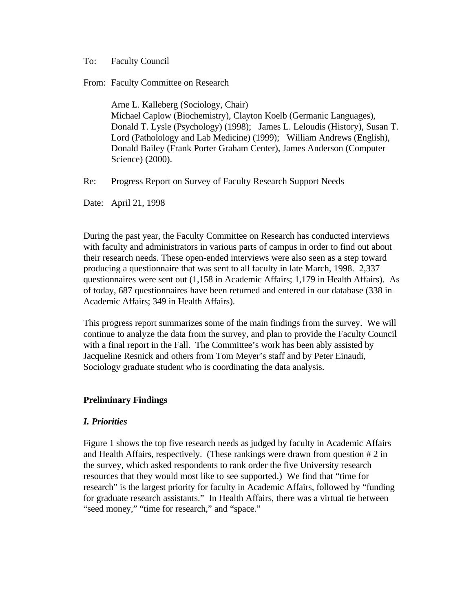#### To: Faculty Council

From: Faculty Committee on Research

Arne L. Kalleberg (Sociology, Chair) Michael Caplow (Biochemistry), Clayton Koelb (Germanic Languages), Donald T. Lysle (Psychology) (1998); James L. Leloudis (History), Susan T. Lord (Patholology and Lab Medicine) (1999); William Andrews (English), Donald Bailey (Frank Porter Graham Center), James Anderson (Computer Science) (2000).

Re: Progress Report on Survey of Faculty Research Support Needs

Date: April 21, 1998

During the past year, the Faculty Committee on Research has conducted interviews with faculty and administrators in various parts of campus in order to find out about their research needs. These open-ended interviews were also seen as a step toward producing a questionnaire that was sent to all faculty in late March, 1998. 2,337 questionnaires were sent out (1,158 in Academic Affairs; 1,179 in Health Affairs). As of today, 687 questionnaires have been returned and entered in our database (338 in Academic Affairs; 349 in Health Affairs).

This progress report summarizes some of the main findings from the survey. We will continue to analyze the data from the survey, and plan to provide the Faculty Council with a final report in the Fall. The Committee's work has been ably assisted by Jacqueline Resnick and others from Tom Meyer's staff and by Peter Einaudi, Sociology graduate student who is coordinating the data analysis.

### **Preliminary Findings**

### *I. Priorities*

Figure 1 shows the top five research needs as judged by faculty in Academic Affairs and Health Affairs, respectively. (These rankings were drawn from question # 2 in the survey, which asked respondents to rank order the five University research resources that they would most like to see supported.) We find that "time for research" is the largest priority for faculty in Academic Affairs, followed by "funding for graduate research assistants." In Health Affairs, there was a virtual tie between "seed money," "time for research," and "space."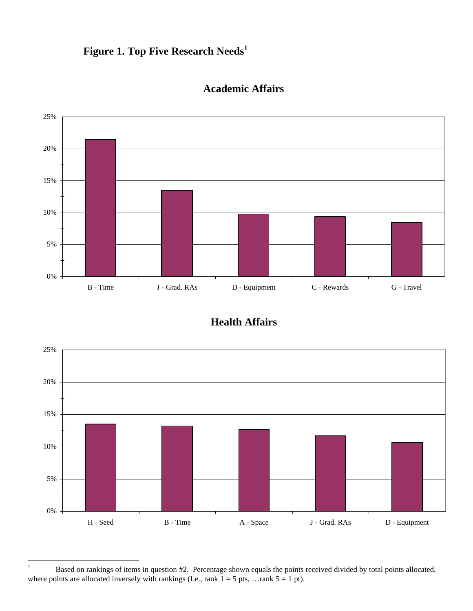# **Figure 1. Top Five Research Needs<sup>1</sup>**



## **Academic Affairs**





 $\,1\,$ <sup>1</sup> Based on rankings of items in question #2. Percentage shown equals the points received divided by total points allocated, where points are allocated inversely with rankings (I.e., rank  $1 = 5$  pts, ... rank  $5 = 1$  pt).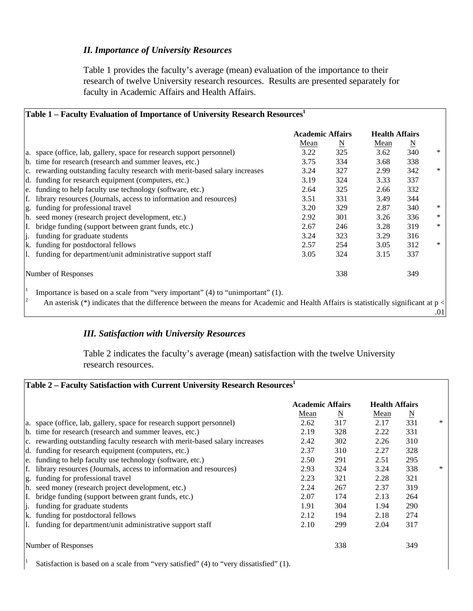### *II. Importance of University Resources*

Table 1 provides the faculty's average (mean) evaluation of the importance to their research of twelve University research resources. Results are presented separately for faculty in Academic Affairs and Health Affairs.

| Table 1 – Faculty Evaluation of Importance of University Research Resources <sup>1</sup>                                              |      |                         |      |                       |        |  |  |  |
|---------------------------------------------------------------------------------------------------------------------------------------|------|-------------------------|------|-----------------------|--------|--|--|--|
|                                                                                                                                       |      | <b>Academic Affairs</b> |      | <b>Health Affairs</b> |        |  |  |  |
|                                                                                                                                       | Mean | $\underline{\rm N}$     | Mean | $\underline{\rm N}$   |        |  |  |  |
| a. space (office, lab, gallery, space for research support personnel)                                                                 | 3.22 | 325                     | 3.62 | 340                   | $\ast$ |  |  |  |
| b. time for research (research and summer leaves, etc.)                                                                               | 3.75 | 334                     | 3.68 | 338                   |        |  |  |  |
| c. rewarding outstanding faculty research with merit-based salary increases                                                           | 3.24 | 327                     | 2.99 | 342                   | $\ast$ |  |  |  |
| d. funding for research equipment (computers, etc.)                                                                                   | 3.19 | 324                     | 3.33 | 337                   |        |  |  |  |
| e. funding to help faculty use technology (software, etc.)                                                                            | 2.64 | 325                     | 2.66 | 332                   |        |  |  |  |
| library resources (Journals, access to information and resources)<br>f.                                                               | 3.51 | 331                     | 3.49 | 344                   |        |  |  |  |
| g. funding for professional travel                                                                                                    | 3.20 | 329                     | 2.87 | 340                   | ∗      |  |  |  |
| h. seed money (research project development, etc.)                                                                                    | 2.92 | 301                     | 3.26 | 336                   | ∗      |  |  |  |
| I. bridge funding (support between grant funds, etc.)                                                                                 | 2.67 | 246                     | 3.28 | 319                   | *      |  |  |  |
| li.<br>funding for graduate students                                                                                                  | 3.24 | 323                     | 3.29 | 316                   |        |  |  |  |
| k. funding for postdoctoral fellows                                                                                                   | 2.57 | 254                     | 3.05 | 312                   | $\ast$ |  |  |  |
| 1. funding for department/unit administrative support staff                                                                           | 3.05 | 324                     | 3.15 | 337                   |        |  |  |  |
| Number of Responses                                                                                                                   |      | 338                     |      | 349                   |        |  |  |  |
| Importance is based on a scale from "very important" (4) to "unimportant" (1).                                                        |      |                         |      |                       |        |  |  |  |
| An asterisk (*) indicates that the difference between the means for Academic and Health Affairs is statistically significant at $p <$ |      |                         |      |                       |        |  |  |  |
|                                                                                                                                       |      |                         |      |                       | .01    |  |  |  |
|                                                                                                                                       |      |                         |      |                       |        |  |  |  |

### *III. Satisfaction with University Resources*

Table 2 indicates the faculty's average (mean) satisfaction with the twelve University research resources.

|                                                                             | <b>Academic Affairs</b> |                          | <b>Health Affairs</b> |                     |  |
|-----------------------------------------------------------------------------|-------------------------|--------------------------|-----------------------|---------------------|--|
|                                                                             | Mean                    | $\underline{\mathbf{N}}$ | Mean                  | $\underline{\rm N}$ |  |
| a. space (office, lab, gallery, space for research support personnel)       | 2.62                    | 317                      | 2.17                  | 331                 |  |
| b. time for research (research and summer leaves, etc.)                     | 2.19                    | 328                      | 2.22                  | 331                 |  |
| c. rewarding outstanding faculty research with merit-based salary increases | 2.42                    | 302                      | 2.26                  | 310                 |  |
| d. funding for research equipment (computers, etc.)                         | 2.37                    | 310                      | 2.27                  | 328                 |  |
| e. funding to help faculty use technology (software, etc.)                  | 2.50                    | 291                      | 2.51                  | 295                 |  |
| f. library resources (Journals, access to information and resources)        | 2.93                    | 324                      | 3.24                  | 338                 |  |
| g. funding for professional travel                                          | 2.23                    | 321                      | 2.28                  | 321                 |  |
| h. seed money (research project development, etc.)                          | 2.24                    | 267                      | 2.37                  | 319                 |  |
| I. bridge funding (support between grant funds, etc.)                       | 2.07                    | 174                      | 2.13                  | 264                 |  |
| funding for graduate students<br>li.                                        | 1.91                    | 304                      | 1.94                  | 290                 |  |
| k. funding for postdoctoral fellows                                         | 2.12                    | 194                      | 2.18                  | 274                 |  |
| 1. funding for department/unit administrative support staff                 | 2.10                    | 299                      | 2.04                  | 317                 |  |
| Number of Responses                                                         |                         | 338                      |                       | 349                 |  |

Satisfaction is based on a scale from "very satisfied" (4) to "very dissatisfied" (1).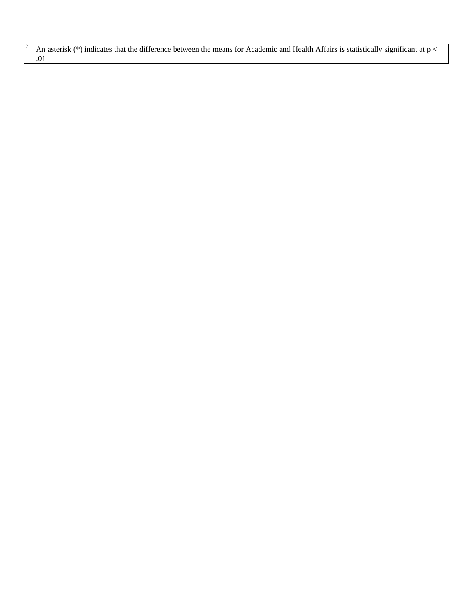An asterisk (\*) indicates that the difference between the means for Academic and Health Affairs is statistically significant at  $p <$  $.01$ 

 $\vert$ <sup>2</sup>